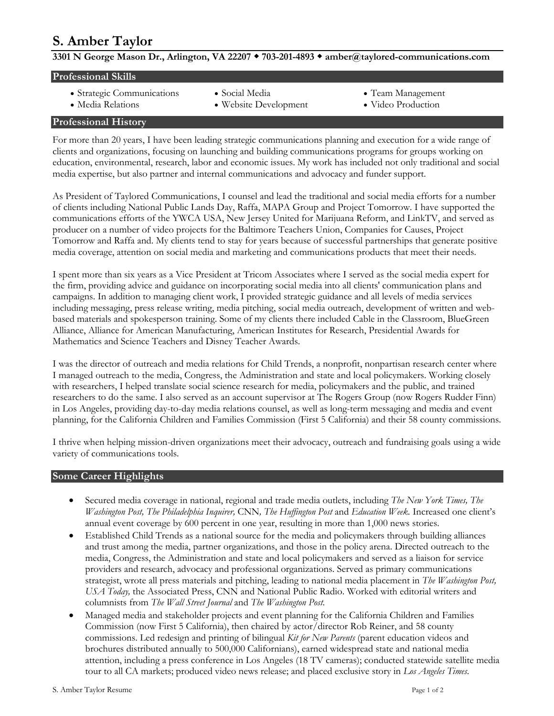# **S. Amber Taylor**<br>3301 N George Mason Dr., Arlington, VA 22207 • 703-201-4893 • amber@taylored-communications.com

| <b>Professional Skills</b> |                        |                   |  |
|----------------------------|------------------------|-------------------|--|
| • Strategic Communications | $\bullet$ Social Media | • Team Management |  |

- 
- 
- 
- Media Relations Website Development Video Production

# **Professional History**

For more than 20 years, I have been leading strategic communications planning and execution for a wide range of clients and organizations, focusing on launching and building communications programs for groups working on education, environmental, research, labor and economic issues. My work has included not only traditional and social media expertise, but also partner and internal communications and advocacy and funder support.

As President of Taylored Communications, I counsel and lead the traditional and social media efforts for a number of clients including National Public Lands Day, Raffa, MAPA Group and Project Tomorrow. I have supported the communications efforts of the YWCA USA, New Jersey United for Marijuana Reform, and LinkTV, and served as producer on a number of video projects for the Baltimore Teachers Union, Companies for Causes, Project Tomorrow and Raffa and. My clients tend to stay for years because of successful partnerships that generate positive media coverage, attention on social media and marketing and communications products that meet their needs.

I spent more than six years as a Vice President at Tricom Associates where I served as the social media expert for the firm, providing advice and guidance on incorporating social media into all clients' communication plans and campaigns. In addition to managing client work, I provided strategic guidance and all levels of media services including messaging, press release writing, media pitching, social media outreach, development of written and webbased materials and spokesperson training. Some of my clients there included Cable in the Classroom, BlueGreen Alliance, Alliance for American Manufacturing, American Institutes for Research, Presidential Awards for Mathematics and Science Teachers and Disney Teacher Awards.

I was the director of outreach and media relations for Child Trends, a nonprofit, nonpartisan research center where I managed outreach to the media, Congress, the Administration and state and local policymakers. Working closely with researchers, I helped translate social science research for media, policymakers and the public, and trained researchers to do the same. I also served as an account supervisor at The Rogers Group (now Rogers Rudder Finn) in Los Angeles, providing day-to-day media relations counsel, as well as long-term messaging and media and event planning, for the California Children and Families Commission (First 5 California) and their 58 county commissions.

I thrive when helping mission-driven organizations meet their advocacy, outreach and fundraising goals using a wide variety of communications tools.

## **Some Career Highlights**

- Secured media coverage in national, regional and trade media outlets, including *The New York Times, The Washington Post, The Philadelphia Inquirer,* CNN*, The Huffington Post* and *Education Week.* Increased one client's annual event coverage by 600 percent in one year, resulting in more than 1,000 news stories.
- Established Child Trends as a national source for the media and policymakers through building alliances and trust among the media, partner organizations, and those in the policy arena. Directed outreach to the media, Congress, the Administration and state and local policymakers and served as a liaison for service providers and research, advocacy and professional organizations. Served as primary communications strategist, wrote all press materials and pitching, leading to national media placement in *The Washington Post, USA Today,* the Associated Press, CNN and National Public Radio. Worked with editorial writers and columnists from *The Wall Street Journal* and *The Washington Post*.
- Managed media and stakeholder projects and event planning for the California Children and Families Commission (now First 5 California), then chaired by actor/director Rob Reiner, and 58 county commissions. Led redesign and printing of bilingual *Kit for New Parents* (parent education videos and brochures distributed annually to 500,000 Californians), earned widespread state and national media attention, including a press conference in Los Angeles (18 TV cameras); conducted statewide satellite media tour to all CA markets; produced video news release; and placed exclusive story in *Los Angeles Times*.